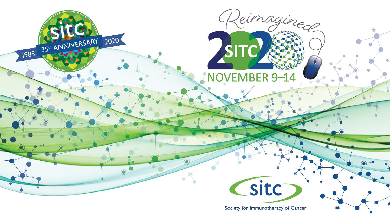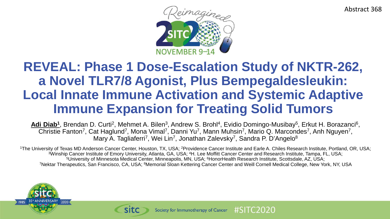Abstract 368



### **REVEAL: Phase 1 Dose-Escalation Study of NKTR-262, a Novel TLR7/8 Agonist, Plus Bempegaldesleukin: Local Innate Immune Activation and Systemic Adaptive Immune Expansion for Treating Solid Tumors**

Adi Diab<sup>1</sup>, Brendan D. Curti<sup>2</sup>, Mehmet A. Bilen<sup>3</sup>, Andrew S. Brohl<sup>4</sup>, Evidio Domingo-Musibay<sup>5</sup>, Erkut H. Borazanci<sup>6</sup>, Christie Fanton<sup>7</sup>, Cat Haglund<sup>7</sup>, Mona Vimal<sup>7</sup>, Danni Yu<sup>7</sup>, Mann Muhsin<sup>7</sup>, Mario Q. Marcondes<sup>7</sup>, Anh Nguyen<sup>7</sup>, Mary A. Tagliaferri<sup>7</sup>, Wei Lin<sup>7</sup>, Jonathan Zalevsky<sup>7</sup>, Sandra P. D'Angelo<sup>8</sup>

<sup>1</sup>The University of Texas MD Anderson Cancer Center, Houston, TX, USA; <sup>2</sup>Providence Cancer Institute and Earle A. Chiles Research Institute, Portland, OR, USA; 3Winship Cancer Institute of Emory University, Atlanta, GA, USA; 4H. Lee Moffitt Cancer Center and Research Institute, Tampa, FL, USA; 5University of Minnesota Medical Center, Minneapolis, MN, USA; <sup>6</sup>HonorHealth Research Institute, Scottsdale, AZ, USA; 7Nektar Therapeutics, San Francisco, CA, USA; 8Memorial Sloan Kettering Cancer Center and Weill Cornell Medical College, New York, NY, USA



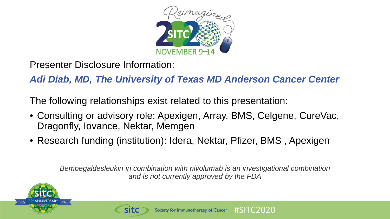

Presenter Disclosure Information:

*Adi Diab, MD, The University of Texas MD Anderson Cancer Center*

The following relationships exist related to this presentation:

- Consulting or advisory role: Apexigen, Array, BMS, Celgene, CureVac, Dragonfly, Iovance, Nektar, Memgen
- Research funding (institution): Idera, Nektar, Pfizer, BMS , Apexigen

*Bempegaldesleukin in combination with nivolumab is an investigational combination and is not currently approved by the FDA*



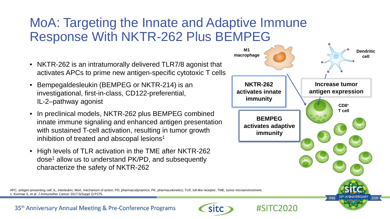### MoA: Targeting the Innate and Adaptive Immune Response With NKTR-262 Plus BEMPEG

- NKTR-262 is an intratumorally delivered TLR7/8 agonist that activates APCs to prime new antigen-specific cytotoxic T cells
- Bempegaldesleukin (BEMPEG or NKTR-214) is an investigational, first-in-class, CD122-preferential, IL-2–pathway agonist
- In preclinical models, NKTR-262 plus BEMPEG combined innate immune signaling and enhanced antigen presentation with sustained T-cell activation, resulting in tumor growth inhibition of treated and abscopal lesions<sup>1</sup>
- High levels of TLR activation in the TME after NKTR-262 dose<sup>1</sup> allow us to understand PK/PD, and subsequently characterize the safety of NKTR-262



APC, antigen-presenting cell; IL, interleukin; MoA, mechanism of action; PD, pharmacodynamics; PK, pharmacokinetics; TLR, toll-like receptor; TME, tumor microenvironment. 1. Kivimae S, et al. *J Immunother Cancer* 2017;5(Suppl 2):P275.

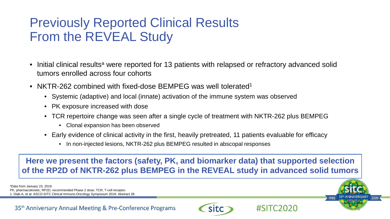### Previously Reported Clinical Results From the REVEAL Study

- Initial clinical results<sup>a</sup> were reported for 13 patients with relapsed or refractory advanced solid tumors enrolled across four cohorts
- NKTR-262 combined with fixed-dose BEMPEG was well tolerated<sup>1</sup>
	- Systemic (adaptive) and local (innate) activation of the immune system was observed
	- PK exposure increased with dose
	- TCR repertoire change was seen after a single cycle of treatment with NKTR-262 plus BEMPEG
		- Clonal expansion has been observed
	- Early evidence of clinical activity in the first, heavily pretreated, 11 patients evaluable for efficacy
		- In non-injected lesions, NKTR-262 plus BEMPEG resulted in abscopal responses

**Here we present the factors (safety, PK, and biomarker data) that supported selection of the RP2D of NKTR-262 plus BEMPEG in the REVEAL study in advanced solid tumors**

aData from January 23, 2019.

PK, pharmacokinetic; RP2D, recommended Phase 2 dose; TCR, T-cell receptor.

1. Diab A, et al. ASCO-SITC Clinical Immuno-Oncology Symposium 2019: Abstract 28.

35<sup>th</sup> Anniversary Annual Meeting & Pre-Conference Programs





5

2020

1985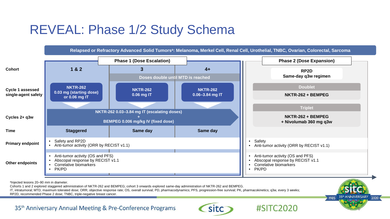## REVEAL: Phase 1/2 Study Schema



IT, intratumoral; MTD, maximum tolerated dose; ORR, objective response rate; OS, overall survival; PD, pharmacodynamics; PFS, progression-free survival; PK, pharmacokinetics; q3w, every 3 weeks; RP2D, recommended Phase 2 dose; TNBC, triple-negative breast cancer.



35<sup>th</sup> Anniversary Annual Meeting & Pre-Conference Programs

**SITC** 

#SITC2020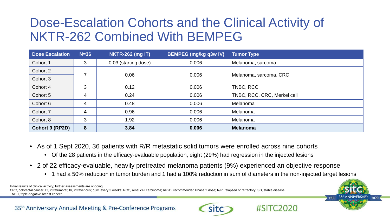### Dose-Escalation Cohorts and the Clinical Activity of NKTR-262 Combined With BEMPEG

| <b>Dose Escalation</b> | $N=36$ | <b>NKTR-262 (mg IT)</b> | <b>BEMPEG (mg/kg q3w IV)</b> | <b>Tumor Type</b>           |
|------------------------|--------|-------------------------|------------------------------|-----------------------------|
| Cohort 1               | 3      | 0.03 (starting dose)    | 0.006                        | Melanoma, sarcoma           |
| Cohort 2               |        | 0.06                    | 0.006                        | Melanoma, sarcoma, CRC      |
| Cohort 3               |        |                         |                              |                             |
| Cohort 4               | 3      | 0.12                    | 0.006                        | TNBC, RCC                   |
| Cohort 5               | 4      | 0.24                    | 0.006                        | TNBC, RCC, CRC, Merkel cell |
| Cohort 6               | 4      | 0.48                    | 0.006                        | Melanoma                    |
| Cohort 7               | 4      | 0.96                    | 0.006                        | Melanoma                    |
| Cohort 8               | 3      | 1.92                    | 0.006                        | Melanoma                    |
| Cohort 9 (RP2D)        | 8      | 3.84                    | 0.006                        | <b>Melanoma</b>             |

- As of 1 Sept 2020, 36 patients with R/R metastatic solid tumors were enrolled across nine cohorts
	- Of the 28 patients in the efficacy-evaluable population, eight (29%) had regression in the injected lesions
- 2 of 22 efficacy-evaluable, heavily pretreated melanoma patients (9%) experienced an objective response
	- 1 had a 50% reduction in tumor burden and 1 had a 100% reduction in sum of diameters in the non-injected target lesions

Initial results of clinical activity; further assessments are ongoing. CRC, colorectal cancer; IT, intratumoral; IV, intravenous; q3w, every 3 weeks; RCC, renal cell carcinoma; RP2D, recommended Phase 2 dose; R/R, relapsed or refractory; SD, stable disease; TNBC, triple-negative breast cancer.



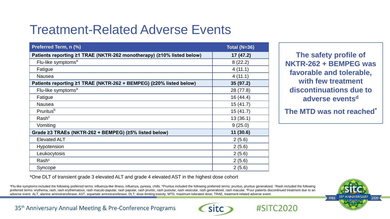# Treatment-Related Adverse Events

| Preferred Term, n (%)                                                 | <b>Total (N=36)</b> |
|-----------------------------------------------------------------------|---------------------|
| Patients reporting ≥1 TRAE (NKTR-262 monotherapy) (≥10% listed below) | 17 (47.2)           |
| Flu-like symptoms <sup>a</sup>                                        | 8(22.2)             |
| Fatigue                                                               | 4(11.1)             |
| <b>Nausea</b>                                                         | 4(11.1)             |
| Patients reporting ≥1 TRAE (NKTR-262 + BEMPEG) (≥20% listed below)    | 35 (97.2)           |
| Flu-like symptoms <sup>a</sup>                                        | 28 (77.8)           |
| Fatigue                                                               | 16(44.4)            |
| <b>Nausea</b>                                                         | 15(41.7)            |
| Pruritus <sup>b</sup>                                                 | 15(41.7)            |
| Rash <sup>c</sup>                                                     | 13(36.1)            |
| Vomiting                                                              | 9(25.0)             |
| Grade ≥3 TRAEs (NKTR-262 + BEMPEG) (≥5% listed below)                 | 11(30.6)            |
| <b>Elevated ALT</b>                                                   | 2(5.6)              |
| Hypotension                                                           | 2(5.6)              |
| Leukocytosis                                                          | 2(5.6)              |
| Rash <sup>c</sup>                                                     | 2(5.6)              |
| Syncope                                                               | 2(5.6)              |

**The safety profile of NKTR-262 + BEMPEG was favorable and tolerable, with few treatment discontinuations due to adverse eventsd**

**The MTD was not reached\***

\*One DLT of transient grade 3 elevated ALT and grade 4 elevated AST in the highest dose cohort

aFlu-like symptoms included the following preferred terms: influenza-like illness, influenza, pyrexia, chills. **PPruritus included the following preferred terms: pruritus**, pruritus generalized. <sup>c</sup>Rash included the follow preferred terms: erythema, rash, rash erythematous, rash maculo-papular, rash papular, rash pruritic, rash pustular, rash vesicular, rash generalized, rash macular. <sup>d</sup>Four patients discontinued treatment due to an adverse event. ALT, alanine aminotransferase; AST, aspartate aminotransferase; DLT; dose-limiting toxicity; MTD, maximum tolerated dose; TRAE, treatment-related adverse event.



35<sup>th</sup> Anniversary Annual Meeting & Pre-Conference Programs



 $\#$ SIT $C$ 2020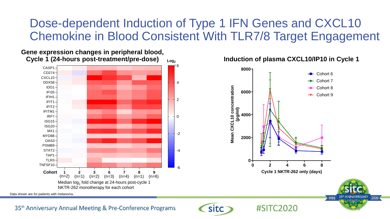### Dose-dependent Induction of Type 1 IFN Genes and CXCL10 Chemokine in Blood Consistent With TLR7/8 Target Engagement

#### houre noet-troatmont/nro-doeo) **(24 hr post-treatment/predose) Cycle 1 (24-hours post-treatment/pre-dose)Gene expression changes in peripheral blood,**



**Induction of plasma CXCL10/IP10 in Cycle 1**

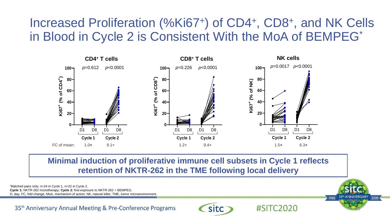### Increased Proliferation (%Ki67+) of CD4+, CD8+, and NK Cells in Blood in Cycle 2 is Consistent With the MoA of BEMPEG\*



**Minimal induction of proliferative immune cell subsets in Cycle 1 reflects retention of NKTR-262 in the TME following local delivery**

**SITC** 

 $+0$ 

2020

35th ANNIVERSARY

1985

 $\#$ SITC $2020$ 

\* Matched pairs only; n=24 in Cycle 1, n=22 in Cycle 2.

**Cycle 1:** NKTR-262 monotherapy; **Cycle 2:** first exposure to NKTR-262 + BEMPEG.

D, day; FC, fold change; MoA, mechanism of action; NK, natural killer; TME, tumor microenvironment.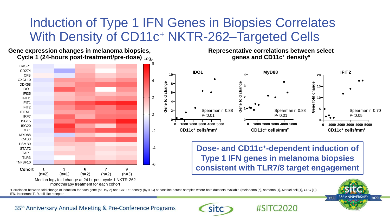### Induction of Type 1 IFN Genes in Biopsies Correlates With Density of CD11c+ NKTR-262–Targeted Cells

**Log2 General Changes in the state of the 12 discrete 12 discrete 12 discrete 12 discrete 12 discrete 12 discrete 1**  $\textbf{Cycle 1 (24-hours post-treatment/pre-dose)}$   $_{\text{Log}_2}$ **Gene expression changes in melanoma biopsies,** 



**Representative correlations between select genes and CD11c+ densitya**



**Dose- and CD11c+-dependent induction of Type 1 IFN genes in melanoma biopsies consistent with TLR7/8 target engagement**

 $\#$ SITC<sub>2020</sub>

aCorrelation between fold change of induction for each gene (at Day 2) and CD11c+ density (by IHC) at baseline across samples where both datasets available (melanoma [6], sarcoma [1], Merkel cell [1], CRC [1]). IFN, interferon; TLR, toll-like receptor.

-6

-4



35<sup>th</sup> Anniversary Annual Meeting & Pre-Conference Programs

**Sitc**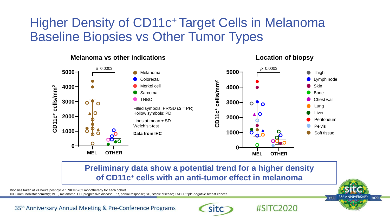### Higher Density of CD11c+ Target Cells in Melanoma Baseline Biopsies vs Other Tumor Types



**Location of biopsy**

 $\#$ SIT $C$ 2020

### **Preliminary data show a potential trend for a higher density of CD11c+ cells with an anti-tumor effect in melanoma**

Biopsies taken at 24 hours post-cycle 1 NKTR-262 monotherapy for each cohort.

**Melanoma vs other indications**

35th ANNIVERSARY 1985 2020 12

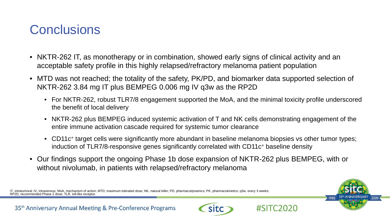### **Conclusions**

- NKTR-262 IT, as monotherapy or in combination, showed early signs of clinical activity and an acceptable safety profile in this highly relapsed/refractory melanoma patient population
- MTD was not reached; the totality of the safety, PK/PD, and biomarker data supported selection of NKTR-262 3.84 mg IT plus BEMPEG 0.006 mg IV q3w as the RP2D
	- For NKTR-262, robust TLR7/8 engagement supported the MoA, and the minimal toxicity profile underscored the benefit of local delivery
	- NKTR-262 plus BEMPEG induced systemic activation of T and NK cells demonstrating engagement of the entire immune activation cascade required for systemic tumor clearance
	- CD11c<sup>+</sup> target cells were significantly more abundant in baseline melanoma biopsies vs other tumor types; induction of TLR7/8-responsive genes significantly correlated with CD11c+ baseline density
- Our findings support the ongoing Phase 1b dose expansion of NKTR-262 plus BEMPEG, with or without nivolumab, in patients with relapsed/refractory melanoma

IT, intratumoral; IV, intravenous; MoA, mechanism of action; MTD, maximum tolerated dose; NK, natural killer; PD, pharmacodynamics; PK, pharmacokinetics; q3w, every 3 weeks;<br>RP2D, recommended Phase 2 dose; TLR, toll-like r



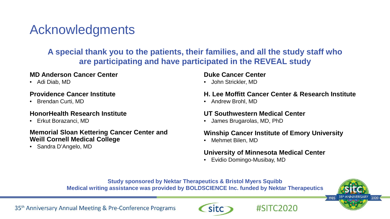# Acknowledgments

### **A special thank you to the patients, their families, and all the study staff who are participating and have participated in the REVEAL study**

#### **MD Anderson Cancer Center**

• Adi Diab, MD

#### **Providence Cancer Institute**

• Brendan Curti, MD

#### **HonorHealth Research Institute**

• Erkut Borazanci, MD

#### **Memorial Sloan Kettering Cancer Center and Weill Cornell Medical College**

• Sandra D'Angelo, MD

#### **Duke Cancer Center**

• John Strickler, MD

#### **H. Lee Moffitt Cancer Center & Research Institute**

• Andrew Brohl, MD

#### **UT Southwestern Medical Center**

• James Brugarolas, MD, PhD

#### **Winship Cancer Institute of Emory University**

 $\#$ SIT $C$ 2020

• Mehmet Bilen, MD

#### **University of Minnesota Medical Center**

• Evidio Domingo-Musibay, MD

#### **Study sponsored by Nektar Therapeutics & Bristol Myers Squibb Medical writing assistance was provided by BOLDSCIENCE Inc. funded by Nektar Therapeutics**